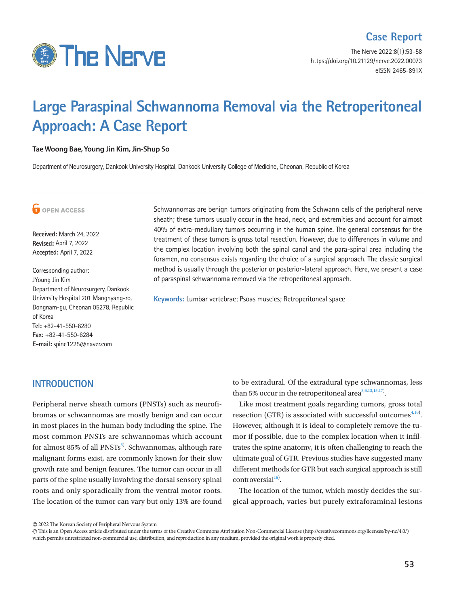

The Nerve 2022;8(1):53-58 https://doi.org/10.21129/nerve.2022.00073 eISSN 2465-891X

# **Large Paraspinal Schwannoma Removal via the Retroperitoneal Approach: A Case Report**

#### **Tae Woong Bae, Young Jin Kim, Jin-Shup So**

Department of Neurosurgery, Dankook University Hospital, Dankook University College of Medicine, Cheonan, Republic of Korea



**Received:** March 24, 2022 **Revised:** April 7, 2022 **Accepted:** April 7, 2022

Corresponding author: JYoung Jin Kim Department of Neurosurgery, Dankook University Hospital 201 Manghyang-ro, Dongnam-gu, Cheonan 05278, Republic of Korea **Tel:** +82-41-550-6280 **Fax:** +82-41-550-6284 **E-mail:** spine1225@naver.com

Schwannomas are benign tumors originating from the Schwann cells of the peripheral nerve sheath; these tumors usually occur in the head, neck, and extremities and account for almost 40% of extra-medullary tumors occurring in the human spine. The general consensus for the treatment of these tumors is gross total resection. However, due to differences in volume and the complex location involving both the spinal canal and the para-spinal area including the foramen, no consensus exists regarding the choice of a surgical approach. The classic surgical method is usually through the posterior or posterior-lateral approach. Here, we present a case of paraspinal schwannoma removed via the retroperitoneal approach.

**Keywords:** Lumbar vertebrae; Psoas muscles; Retroperitoneal space

#### **INTRODUCTION**

Peripheral nerve sheath tumors (PNSTs) such as neurofibromas or schwannomas are mostly benign and can occur in most places in the human body including the spine. The most common PNSTs are schwannomas which account for almost 85% of all PNSTs<sup>3)</sup>. Schwannomas, although rare malignant forms exist, are commonly known for their slow growth rate and benign features. The tumor can occur in all parts of the spine usually involving the dorsal sensory spinal roots and only sporadically from the ventral motor roots. The location of the tumor can vary but only 13% are found

to be extradural. Of the extradural type schwannomas, less than 5% occur in the retroperitoneal area $3,6,13,15,17$  $3,6,13,15,17$  $3,6,13,15,17$  $3,6,13,15,17$  $3,6,13,15,17$ .

Like most treatment goals regarding tumors, gross total resection (GTR) is associated with successful outcomes $4,16$  $4,16$  $4,16$ . However, although it is ideal to completely remove the tumor if possible, due to the complex location when it infiltrates the spine anatomy, it is often challenging to reach the ultimate goal of GTR. Previous studies have suggested many different methods for GTR but each surgical approach is still  $controversial<sup>16</sup>$  $controversial<sup>16</sup>$  $controversial<sup>16</sup>$ .

The location of the tumor, which mostly decides the surgical approach, varies but purely extraforaminal lesions

© 2022 The Korean Society of Peripheral Nervous System

 This is an Open Access article distributed under the terms of the Creative Commons Attribution Non-Commercial License (http://creativecommons.org/licenses/by-nc/4.0/) which permits unrestricted non-commercial use, distribution, and reproduction in any medium, provided the original work is properly cited.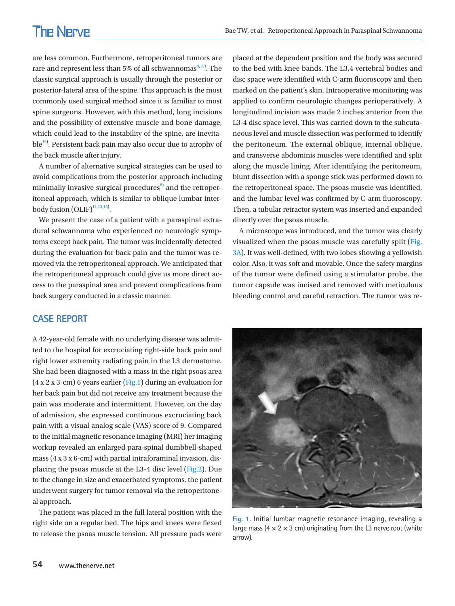are less common. Furthermore, retroperitoneal tumors are rare and represent less than 5% of all schwannomas $9,15$  $9,15$ . The classic surgical approach is usually through the posterior or posterior-lateral area of the spine. This approach is the most commonly used surgical method since it is familiar to most spine surgeons. However, with this method, long incisions and the possibility of extensive muscle and bone damage, which could lead to the instability of the spine, are inevitable<sup>19)</sup>. Persistent back pain may also occur due to atrophy of the back muscle after injury.

A number of alternative surgical strategies can be used to avoid complications from the posterior approach including minimally invasive surgical procedures $^{8)}$  $^{8)}$  $^{8)}$  and the retroperitoneal approach, which is similar to oblique lumbar interbody fusion  $(OLIF)^{11,13,15}$  $(OLIF)^{11,13,15}$  $(OLIF)^{11,13,15}$ .

We present the case of a patient with a paraspinal extradural schwannoma who experienced no neurologic symptoms except back pain. The tumor was incidentally detected during the evaluation for back pain and the tumor was removed via the retroperitoneal approach. We anticipated that the retroperitoneal approach could give us more direct access to the paraspinal area and prevent complications from back surgery conducted in a classic manner.

#### **CASE REPORT**

A 42-year-old female with no underlying disease was admitted to the hospital for excruciating right-side back pain and right lower extremity radiating pain in the L3 dermatome. She had been diagnosed with a mass in the right psoas area (4 x 2 x 3-cm) 6 years earlier [\(Fig.1](#page-1-0)) during an evaluation for her back pain but did not receive any treatment because the pain was moderate and intermittent. However, on the day of admission, she expressed continuous excruciating back pain with a visual analog scale (VAS) score of 9. Compared to the initial magnetic resonance imaging (MRI) her imaging workup revealed an enlarged para-spinal dumbbell-shaped mass (4 x 3 x 6-cm) with partial intraforaminal invasion, displacing the psoas muscle at the L3-4 disc level [\(Fig.2](#page-2-0)). Due to the change in size and exacerbated symptoms, the patient underwent surgery for tumor removal via the retroperitoneal approach.

The patient was placed in the full lateral position with the right side on a regular bed. The hips and knees were flexed to release the psoas muscle tension. All pressure pads were

placed at the dependent position and the body was secured to the bed with knee bands. The L3,4 vertebral bodies and disc space were identified with C-arm fluoroscopy and then marked on the patient's skin. Intraoperative monitoring was applied to confirm neurologic changes perioperatively. A longitudinal incision was made 2 inches anterior from the L3-4 disc space level. This was carried down to the subcutaneous level and muscle dissection was performed to identify the peritoneum. The external oblique, internal oblique, and transverse abdominis muscles were identified and split along the muscle lining. After identifying the peritoneum, blunt dissection with a sponge stick was performed down to the retroperitoneal space. The psoas muscle was identified, and the lumbar level was confirmed by C-arm fluoroscopy. Then, a tubular retractor system was inserted and expanded directly over the psoas muscle.

A microscope was introduced, and the tumor was clearly visualized when the psoas muscle was carefully split [\(Fig.](#page-2-1)  [3A\)](#page-2-1). It was well-defined, with two lobes showing a yellowish color. Also, it was soft and movable. Once the safety margins of the tumor were defined using a stimulator probe, the tumor capsule was incised and removed with meticulous bleeding control and careful retraction. The tumor was re-

<span id="page-1-0"></span>

**Fig. 1.** Initial lumbar magnetic resonance imaging, revealing a large mass ( $4 \times 2 \times 3$  cm) originating from the L3 nerve root (white arrow).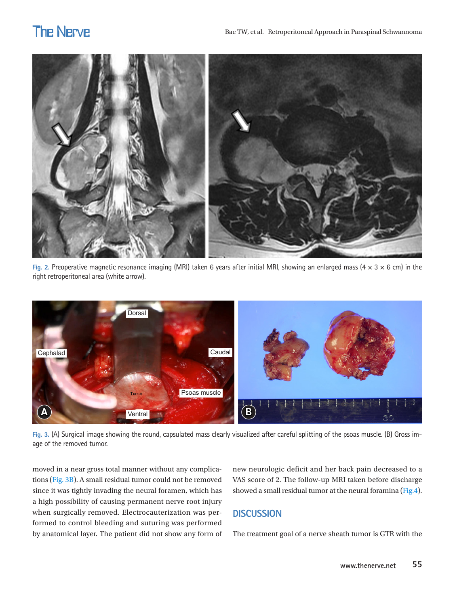<span id="page-2-0"></span>

**Fig. 2.** Preoperative magnetic resonance imaging (MRI) taken 6 years after initial MRI, showing an enlarged mass (4 × 3 × 6 cm) in the right retroperitoneal area (white arrow).

<span id="page-2-1"></span>

**Fig. 3.** (A) Surgical image showing the round, capsulated mass clearly visualized after careful splitting of the psoas muscle. (B) Gross image of the removed tumor.

moved in a near gross total manner without any complications [\(Fig. 3B](#page-2-1)). A small residual tumor could not be removed since it was tightly invading the neural foramen, which has a high possibility of causing permanent nerve root injury when surgically removed. Electrocauterization was performed to control bleeding and suturing was performed by anatomical layer. The patient did not show any form of new neurologic deficit and her back pain decreased to a VAS score of 2. The follow-up MRI taken before discharge showed a small residual tumor at the neural foramina [\(Fig.4\)](#page-3-0).

### **DISCUSSION**

The treatment goal of a nerve sheath tumor is GTR with the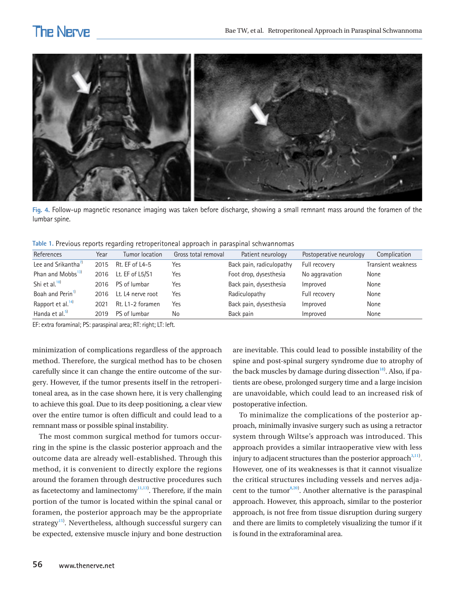<span id="page-3-0"></span>

**Fig. 4.** Follow-up magnetic resonance imaging was taken before discharge, showing a small remnant mass around the foramen of the lumbar spine.

<span id="page-3-1"></span>

|  |  | Table 1. Previous reports regarding retroperitoneal approach in paraspinal schwannomas |  |  |
|--|--|----------------------------------------------------------------------------------------|--|--|
|  |  |                                                                                        |  |  |

| References                      | Year | Tumor location    | Gross total removal | Patient neurology        | Postoperative neurology | Complication       |
|---------------------------------|------|-------------------|---------------------|--------------------------|-------------------------|--------------------|
| Lee and Srikantha <sup>7)</sup> | 2015 | Rt. EF of L4-5    | Yes                 | Back pain, radiculopathy | Full recovery           | Transient weakness |
| Phan and Mobbs <sup>13)</sup>   | 2016 | Lt. EF of L5/S1   | Yes                 | Foot drop, dysesthesia   | No aggravation          | None               |
| Shi et al. $^{18)}$             | 2016 | PS of lumbar      | Yes                 | Back pain, dysesthesia   | Improved                | None               |
| Boah and Perin <sup>1)</sup>    | 2016 | Lt. L4 nerve root | Yes                 | Radiculopathy            | Full recovery           | None               |
| Rapport et al. <sup>14)</sup>   | 2021 | Rt. L1-2 foramen  | Yes                 | Back pain, dysesthesia   | Improved                | None               |
| Handa et al. <sup>5)</sup>      | 2019 | PS of lumbar      | No                  | Back pain                | Improved                | None               |

EF: extra foraminal; PS: paraspinal area; RT: right; LT: left.

minimization of complications regardless of the approach method. Therefore, the surgical method has to be chosen carefully since it can change the entire outcome of the surgery. However, if the tumor presents itself in the retroperitoneal area, as in the case shown here, it is very challenging to achieve this goal. Due to its deep positioning, a clear view over the entire tumor is often difficult and could lead to a remnant mass or possible spinal instability.

The most common surgical method for tumors occurring in the spine is the classic posterior approach and the outcome data are already well-established. Through this method, it is convenient to directly explore the regions around the foramen through destructive procedures such as facetectomy and laminectomy $1,13$ . Therefore, if the main portion of the tumor is located within the spinal canal or foramen, the posterior approach may be the appropriate strategy<sup>[15](#page-4-8))</sup>. Nevertheless, although successful surgery can be expected, extensive muscle injury and bone destruction

are inevitable. This could lead to possible instability of the spine and post-spinal surgery syndrome due to atrophy of the back muscles by damage during dissection<sup>[18\)](#page-5-2)</sup>. Also, if patients are obese, prolonged surgery time and a large incision are unavoidable, which could lead to an increased risk of postoperative infection.

To minimalize the complications of the posterior approach, minimally invasive surgery such as using a retractor system through Wiltse's approach was introduced. This approach provides a similar intraoperative view with less injury to adjacent structures than the posterior approach $3,11$  $3,11$ . However, one of its weaknesses is that it cannot visualize the critical structures including vessels and nerves adjacent to the tumor $^{8,20)}$  $^{8,20)}$  $^{8,20)}$  $^{8,20)}$ . Another alternative is the paraspinal approach. However, this approach, similar to the posterior approach, is not free from tissue disruption during surgery and there are limits to completely visualizing the tumor if it is found in the extraforaminal area.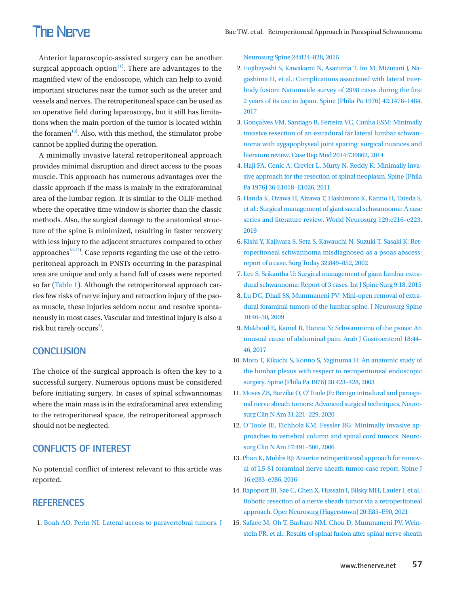Anterior laparoscopic-assisted surgery can be another surgical approach option $11$ <sup>11</sup>. There are advantages to the magnified view of the endoscope, which can help to avoid important structures near the tumor such as the ureter and vessels and nerves. The retroperitoneal space can be used as an operative field during laparoscopy, but it still has limitations when the main portion of the tumor is located within the foramen<sup>[18](#page-5-4)</sup>. Also, with this method, the stimulator probe cannot be applied during the operation.

A minimally invasive lateral retroperitoneal approach provides minimal disruption and direct access to the psoas muscle. This approach has numerous advantages over the classic approach if the mass is mainly in the extraforaminal area of the lumbar region. It is similar to the OLIF method where the operative time window is shorter than the classic methods. Also, the surgical damage to the anatomical structure of the spine is minimized, resulting in faster recovery with less injury to the adjacent structures compared to other approaches $^{10-12}$  $^{10-12}$  $^{10-12}$  $^{10-12}$ . Case reports regarding the use of the retroperitoneal approach in PNSTs occurring in the paraspinal area are unique and only a hand full of cases were reported so far [\(Table 1\)](#page-3-1). Although the retroperitoneal approach carries few risks of nerve injury and retraction injury of the psoas muscle, these injuries seldom occur and resolve spontaneously in most cases. Vascular and intestinal injury is also a risk but rarely occurs<sup>[2](#page-4-15))</sup>.

#### **CONCLUSION**

The choice of the surgical approach is often the key to a successful surgery. Numerous options must be considered before initiating surgery. In cases of spinal schwannomas where the main mass is in the extraforaminal area extending to the retroperitoneal space, the retroperitoneal approach should not be neglected.

#### **CONFLICTS OF INTEREST**

No potential conflict of interest relevant to this article was reported.

#### <span id="page-4-0"></span>**REFERENCES**

<span id="page-4-9"></span>1[. Boah AO, Perin NI: Lateral access to paravertebral tumors. J](https://doi.org/10.3171/2015.6.spine1529) 

[Neurosurg Spine 24:824–828, 201](https://doi.org/10.3171/2015.6.spine1529)6

- <span id="page-4-15"></span>2[. Fujibayashi S, Kawakami N, Asazuma T, Ito M, Mizutani J, Na](https://doi.org/10.1097/brs.0000000000002139)[gashima H, et al.: Complications associated with lateral inter](https://doi.org/10.1097/brs.0000000000002139)[body fusion: Nationwide survey of 2998 cases during the first](https://doi.org/10.1097/brs.0000000000002139)  [2 years of its use in Japan. Spine \(Phila Pa 1976](https://doi.org/10.1097/brs.0000000000002139)) 42:1478–1484, 2017
- 3. [Gonçalves VM, Santiago B, Ferreira VC, Cunha ESM: Minimally](https://doi.org/10.1155/2014/739862)  [invasive resection of an extradural far lateral lumbar schwan](https://doi.org/10.1155/2014/739862)[noma with zygapophyseal joint sparing: surgical nuances and](https://doi.org/10.1155/2014/739862)  [literature review. Case Rep Med 2014:739862, 2014](https://doi.org/10.1155/2014/739862)
- <span id="page-4-4"></span>4[. Haji FA, Cenic A, Crevier L, Murty N, Reddy K: Minimally inva](https://doi.org/10.1097/brs.0b013e31820019f9)[sive approach for the resection of spinal neoplasm. Spine \(Phila](https://doi.org/10.1097/brs.0b013e31820019f9)  [Pa 1976\) 36:E1018–E1026, 201](https://doi.org/10.1097/brs.0b013e31820019f9)1
- <span id="page-4-13"></span>5. [Handa K, Ozawa H, Aizawa T, Hashimoto K, Kanno H, Tateda S,](https://doi.org/10.1016/j.wneu.2019.05.113)  [et al.: Surgical management of giant sacral schwannoma: A case](https://doi.org/10.1016/j.wneu.2019.05.113)  [series and literature review. World Neurosurg 129:e216–e223,](https://doi.org/10.1016/j.wneu.2019.05.113)  [2019](https://doi.org/10.1016/j.wneu.2019.05.113)
- <span id="page-4-1"></span>6. Kishi [Y, Kajiwara S, Seta S, Kawauchi N, Suzuki T, Sasaki K: Ret](https://doi.org/10.1007/s005950200166)[roperitoneal schwannoma misdiagnosed as a psoas abscess:](https://doi.org/10.1007/s005950200166)  [report of a case. Surg Today 32:849–852, 2002](https://doi.org/10.1007/s005950200166)
- <span id="page-4-10"></span><span id="page-4-7"></span>7. Lee S, Srikantha U: Surgical management of giant lumbar ex[tra](https://doi.org/10.14444/2018)[dural schwannoma: Report of 3 cases. Int J Spine Surg 9:18, 2015](https://doi.org/10.14444/2018)
- <span id="page-4-6"></span>8. Lu DC, Dhall SS, Mummaneni PV: Mini-open [removal of extra](https://doi.org/10.3171/2008.10.spi08377)[dural foraminal tumors of the lumbar spine. J Neurosurg Spine](https://doi.org/10.3171/2008.10.spi08377)  [10:46–50, 2009](https://doi.org/10.3171/2008.10.spi08377)
- <span id="page-4-2"></span>9. Makhoul E, Kamel R, Hanna N: Schwannoma of the psoas: An unusual cause of abdominal pain. Arab J Gast[roenterol 18:44–](https://doi.org/10.1016/j.ajg.2017.01.002) [46, 2017](https://doi.org/10.1016/j.ajg.2017.01.002)
- <span id="page-4-14"></span>1[0. Moro T, Kikuchi S, Konno S, Yaginuma H: An anatomic study of](https://doi.org/10.1097/01.brs.0000049226.87064.3b)  [the lumbar plexus with respect to retroperitoneal endoscopic](https://doi.org/10.1097/01.brs.0000049226.87064.3b)  [surgery. Spine \(Phila Pa 1976\) 28:423–428, 200](https://doi.org/10.1097/01.brs.0000049226.87064.3b)3
- <span id="page-4-8"></span><span id="page-4-3"></span>11. Moses ZB, Barzilai [O, O'Toole JE: Benign intradural and paraspi](https://www.ncbi.nlm.nih.gov/pubmed/32147013)[nal nerve sheath tumors: Advanced surgical techniques. Neuro](https://www.ncbi.nlm.nih.gov/pubmed/32147013)[surg Clin N Am 31:221–229, 2020](https://www.ncbi.nlm.nih.gov/pubmed/32147013)
- <span id="page-4-5"></span>12[. O'Toole JE, Eichholz KM, Fessler RG: Minimally invasive ap](https://www.ncbi.nlm.nih.gov/pubmed/17010899)[proaches to vertebral column and spinal cord tumors. Neuro](https://www.ncbi.nlm.nih.gov/pubmed/17010899)[surg Clin N Am 17:491–506, 2006](https://www.ncbi.nlm.nih.gov/pubmed/17010899)
- <span id="page-4-11"></span>13. [Phan K, Mobbs RJ: Anterior retroperitoneal approach for remov](https://doi.org/10.1016/j.spinee.2015.12.005)[al of L5-S1 foraminal nerve sheath tumor-case report. Spine J](https://doi.org/10.1016/j.spinee.2015.12.005)  [16:e283–e286, 2016](https://doi.org/10.1016/j.spinee.2015.12.005)
- <span id="page-4-12"></span>1[4. Rapoport BI, Sze C, Chen X, Hussain I, Bilsky MH, Laufer I, et al.:](https://doi.org/10.1093/ons/opaa329)  [Robotic resection of a nerve sheath tumor via a retroperitoneal](https://doi.org/10.1093/ons/opaa329)  [approach. Oper Neurosurg \(Hagerstown\) 20:E85–E90, 202](https://doi.org/10.1093/ons/opaa329)1
- 15. [Safaee M, Oh T, Barbaro NM, Chou D, Mummaneni PV, Wein](https://doi.org/10.1016/j.wneu.2016.01.015)[stein PR, et al.: Results of spinal fusion after spinal nerve sheath](https://doi.org/10.1016/j.wneu.2016.01.015)